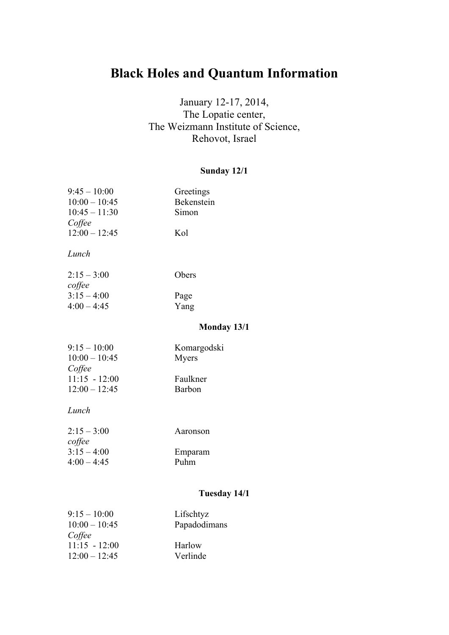# **Black Holes and Quantum Information**

# January 12-17, 2014, The Lopatie center, The Weizmann Institute of Science, Rehovot, Israel

## **Sunday 12/1**

| $9:45 - 10:00$  | Greetings          |
|-----------------|--------------------|
| $10:00 - 10:45$ | Bekenstein         |
| $10:45 - 11:30$ | Simon              |
| Coffee          |                    |
| $12:00 - 12:45$ | Kol                |
|                 |                    |
| Lunch           |                    |
|                 |                    |
| $2:15 - 3:00$   | Obers              |
| coffee          |                    |
| $3:15 - 4:00$   | Page               |
| $4:00 - 4:45$   | Yang               |
|                 |                    |
|                 | <b>Monday 13/1</b> |
| $9:15 - 10:00$  | Komargodski        |
| $10:00 - 10:45$ | Myers              |
| Coffee          |                    |
| $11:15 - 12:00$ | Faulkner           |
| $12:00 - 12:45$ | Barbon             |
|                 |                    |
| Lunch           |                    |
|                 |                    |
| $2:15 - 3:00$   | Aaronson           |
| coffee          |                    |
| $3:15 - 4:00$   | Emparam            |
| $4:00 - 4:45$   | Puhm               |
|                 |                    |
|                 |                    |
|                 | TJ 14/1            |

## **Tuesday 14/1**

| $9:15 - 10:00$  | Lifschtyz    |
|-----------------|--------------|
| $10:00 - 10:45$ | Papadodimans |
| Coffee          |              |
| $11:15 - 12:00$ | Harlow       |
| $12:00 - 12:45$ | Verlinde     |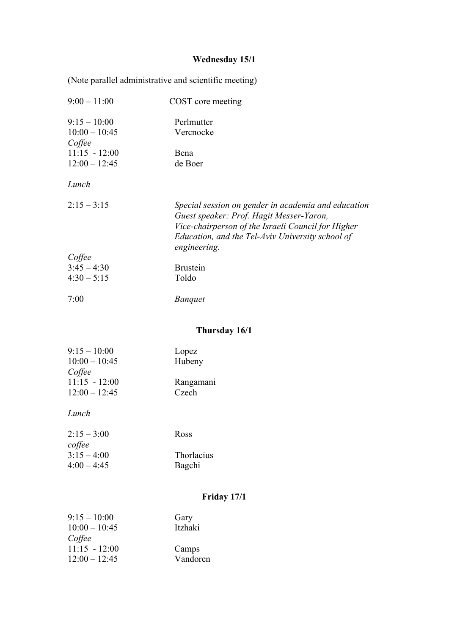#### **Wednesday 15/1**

(Note parallel administrative and scientific meeting) 9:00 – 11:00 COST core meeting 9:15 – 10:00 Perlmutter 10:00 – 10:45 Vercnocke *Coffee* 11:15 - 12:00 Bena 12:00 – 12:45 de Boer *Lunch* 2:15 – 3:15 *Special session on gender in academia and education Guest speaker: Prof. Hagit Messer-Yaron, Vice-chairperson of the Israeli Council for Higher Education, and the Tel-Aviv University school of engineering. Coffee* 3:45 – 4:30 Brustein  $4:30 - 5:15$  Toldo 7:00 *Banquet* **Thursday 16/1**

| $9:15 - 10:00$<br>$10:00 - 10:45$ | Lopez<br>Hubeny |  |
|-----------------------------------|-----------------|--|
| Coffee                            |                 |  |
| $11:15 - 12:00$                   | Rangamani       |  |
| $12:00 - 12:45$                   | Czech           |  |

#### *Lunch*

| $2:15 - 3:00$ | Ross       |
|---------------|------------|
| coffee        |            |
| $3:15 - 4:00$ | Thorlacius |
| $4:00 - 4:45$ | Bagchi     |

## **Friday 17/1**

| $9:15 - 10:00$  | Gary     |
|-----------------|----------|
| $10:00 - 10:45$ | Itzhaki  |
| Coffee          |          |
| $11:15 - 12:00$ | Camps    |
| $12:00 - 12:45$ | Vandoren |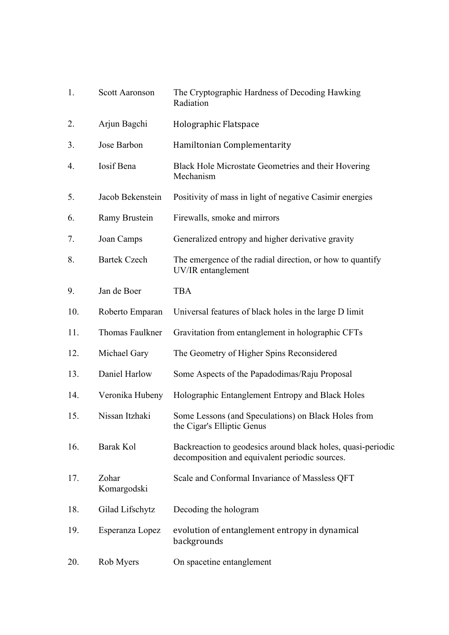| 1.  | <b>Scott Aaronson</b> | The Cryptographic Hardness of Decoding Hawking<br>Radiation                                                    |
|-----|-----------------------|----------------------------------------------------------------------------------------------------------------|
| 2.  | Arjun Bagchi          | Holographic Flatspace                                                                                          |
| 3.  | Jose Barbon           | Hamiltonian Complementarity                                                                                    |
| 4.  | Iosif Bena            | Black Hole Microstate Geometries and their Hovering<br>Mechanism                                               |
| 5.  | Jacob Bekenstein      | Positivity of mass in light of negative Casimir energies                                                       |
| 6.  | Ramy Brustein         | Firewalls, smoke and mirrors                                                                                   |
| 7.  | Joan Camps            | Generalized entropy and higher derivative gravity                                                              |
| 8.  | <b>Bartek Czech</b>   | The emergence of the radial direction, or how to quantify<br>UV/IR entanglement                                |
| 9.  | Jan de Boer           | <b>TBA</b>                                                                                                     |
| 10. | Roberto Emparan       | Universal features of black holes in the large D limit                                                         |
| 11. | Thomas Faulkner       | Gravitation from entanglement in holographic CFTs                                                              |
| 12. | Michael Gary          | The Geometry of Higher Spins Reconsidered                                                                      |
| 13. | Daniel Harlow         | Some Aspects of the Papadodimas/Raju Proposal                                                                  |
| 14. | Veronika Hubeny       | Holographic Entanglement Entropy and Black Holes                                                               |
| 15. | Nissan Itzhaki        | Some Lessons (and Speculations) on Black Holes from<br>the Cigar's Elliptic Genus                              |
| 16. | Barak Kol             | Backreaction to geodesics around black holes, quasi-periodic<br>decomposition and equivalent periodic sources. |
| 17. | Zohar<br>Komargodski  | Scale and Conformal Invariance of Massless QFT                                                                 |
| 18. | Gilad Lifschytz       | Decoding the hologram                                                                                          |
| 19. | Esperanza Lopez       | evolution of entanglement entropy in dynamical<br>backgrounds                                                  |
| 20. | Rob Myers             | On spacetine entanglement                                                                                      |